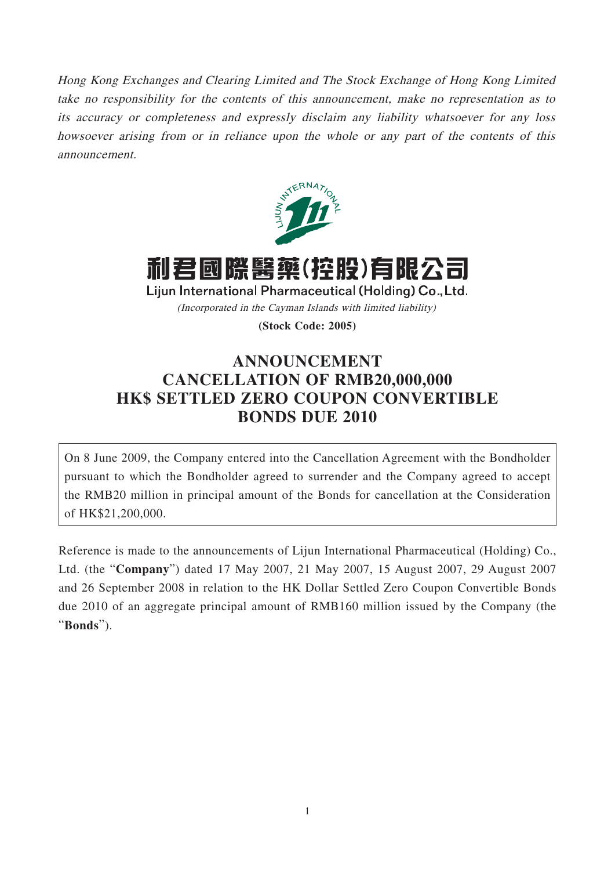Hong Kong Exchanges and Clearing Limited and The Stock Exchange of Hong Kong Limited take no responsibility for the contents of this announcement, make no representation as to its accuracy or completeness and expressly disclaim any liability whatsoever for any loss howsoever arising from or in reliance upon the whole or any part of the contents of this announcement.



利君國際醫藥(控股)有限公司

Lijun International Pharmaceutical (Holding) Co., Ltd. (Incorporated in the Cayman Islands with limited liability)

**(Stock Code: 2005)**

## **ANNOUNCEMENT CANCELLATION OF RMB20,000,000 HK\$ SETTLED ZERO COUPON CONVERTIBLE BONDS DUE 2010**

On 8 June 2009, the Company entered into the Cancellation Agreement with the Bondholder pursuant to which the Bondholder agreed to surrender and the Company agreed to accept the RMB20 million in principal amount of the Bonds for cancellation at the Consideration of HK\$21,200,000.

Reference is made to the announcements of Lijun International Pharmaceutical (Holding) Co., Ltd. (the "**Company**") dated 17 May 2007, 21 May 2007, 15 August 2007, 29 August 2007 and 26 September 2008 in relation to the HK Dollar Settled Zero Coupon Convertible Bonds due 2010 of an aggregate principal amount of RMB160 million issued by the Company (the "**Bonds**").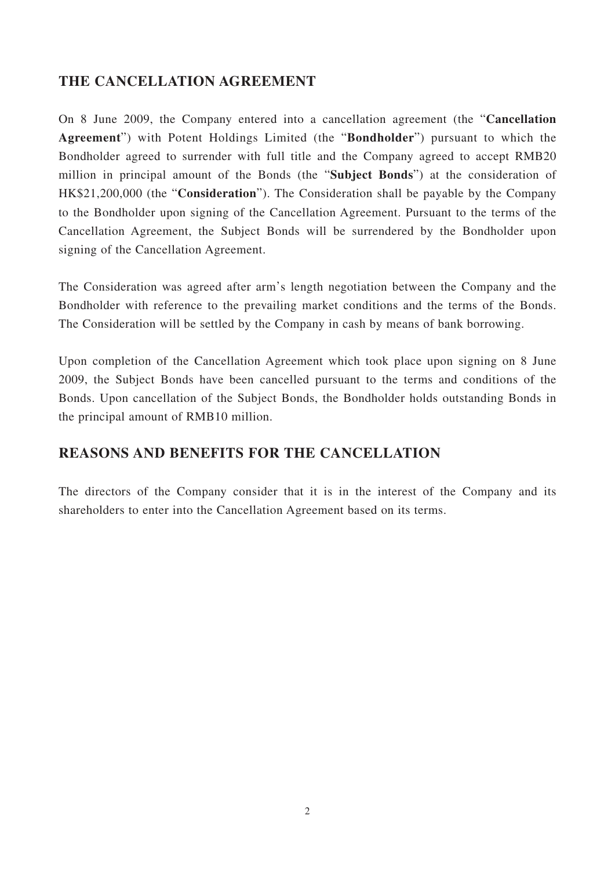## **THE CANCELLATION AGREEMENT**

On 8 June 2009, the Company entered into a cancellation agreement (the "**Cancellation Agreement**") with Potent Holdings Limited (the "**Bondholder**") pursuant to which the Bondholder agreed to surrender with full title and the Company agreed to accept RMB20 million in principal amount of the Bonds (the "**Subject Bonds**") at the consideration of HK\$21,200,000 (the "**Consideration**"). The Consideration shall be payable by the Company to the Bondholder upon signing of the Cancellation Agreement. Pursuant to the terms of the Cancellation Agreement, the Subject Bonds will be surrendered by the Bondholder upon signing of the Cancellation Agreement.

The Consideration was agreed after arm's length negotiation between the Company and the Bondholder with reference to the prevailing market conditions and the terms of the Bonds. The Consideration will be settled by the Company in cash by means of bank borrowing.

Upon completion of the Cancellation Agreement which took place upon signing on 8 June 2009, the Subject Bonds have been cancelled pursuant to the terms and conditions of the Bonds. Upon cancellation of the Subject Bonds, the Bondholder holds outstanding Bonds in the principal amount of RMB10 million.

## **REASONS AND BENEFITS FOR THE CANCELLATION**

The directors of the Company consider that it is in the interest of the Company and its shareholders to enter into the Cancellation Agreement based on its terms.